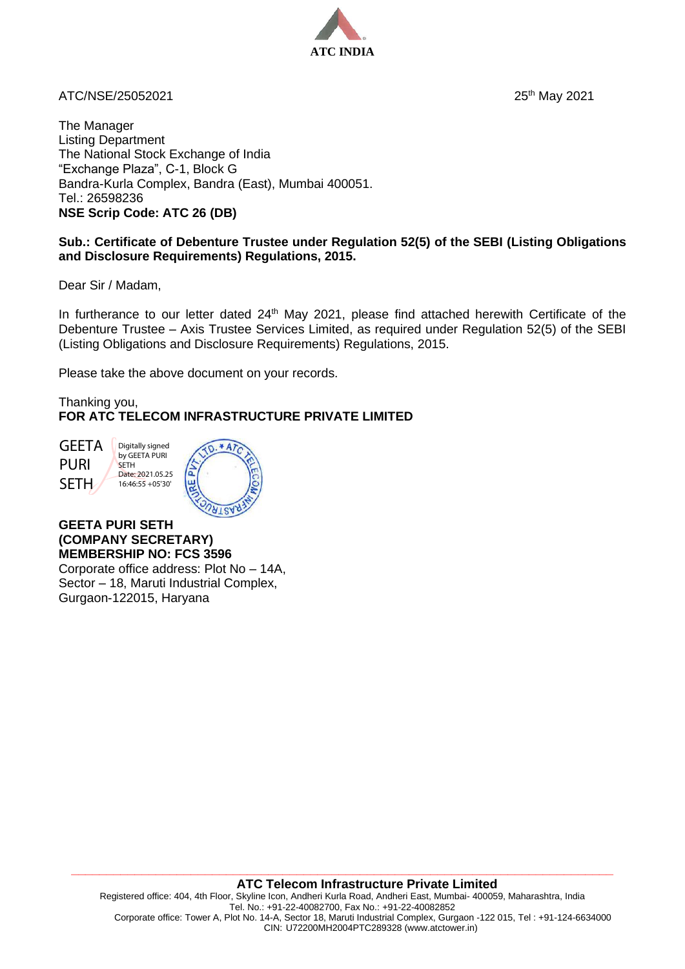

ATC/NSE/25052021

25<sup>th</sup> May 2021

The Manager Listing Department The National Stock Exchange of India "Exchange Plaza", C-1, Block G Bandra-Kurla Complex, Bandra (East), Mumbai 400051. Tel.: 26598236 **NSE Scrip Code: ATC 26 (DB)**

## **Sub.: Certificate of Debenture Trustee under Regulation 52(5) of the SEBI (Listing Obligations and Disclosure Requirements) Regulations, 2015.**

Dear Sir / Madam,

In furtherance to our letter dated 24<sup>th</sup> May 2021, please find attached herewith Certificate of the Debenture Trustee – Axis Trustee Services Limited, as required under Regulation 52(5) of the SEBI (Listing Obligations and Disclosure Requirements) Regulations, 2015.

Please take the above document on your records.

Thanking you, **FOR ATC TELECOM INFRASTRUCTURE PRIVATE LIMITED**

**GEETA** PURI **SETH** 

**SETH** 



**GEETA PURI SETH (COMPANY SECRETARY) MEMBERSHIP NO: FCS 3596** Corporate office address: Plot No – 14A,

Sector – 18, Maruti Industrial Complex, Gurgaon-122015, Haryana

**\_\_\_\_\_\_\_\_\_\_\_\_\_\_\_\_\_\_\_\_\_\_\_\_\_\_\_\_\_\_\_\_\_\_\_\_\_\_\_\_\_\_\_\_\_\_\_\_\_\_\_\_\_\_\_\_\_\_\_\_\_\_\_\_\_\_\_\_\_\_\_\_\_\_\_\_\_**